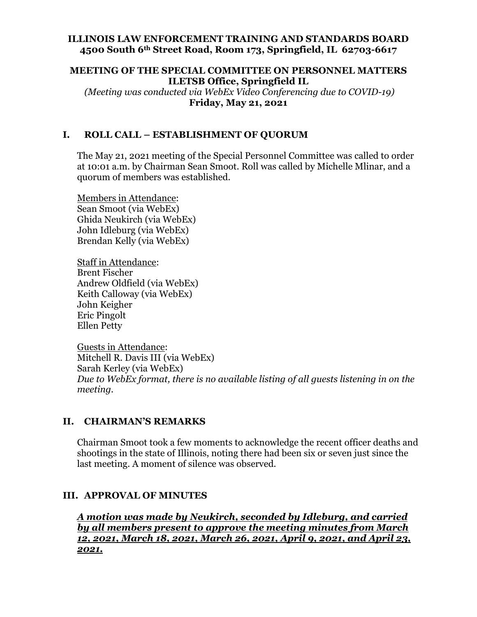### **ILLINOIS LAW ENFORCEMENT TRAINING AND STANDARDS BOARD 4500 South 6th Street Road, Room 173, Springfield, IL 62703-6617**

### **MEETING OF THE SPECIAL COMMITTEE ON PERSONNEL MATTERS ILETSB Office, Springfield IL**

*(Meeting was conducted via WebEx Video Conferencing due to COVID-19)* **Friday, May 21, 2021**

## **I. ROLL CALL – ESTABLISHMENT OF QUORUM**

The May 21, 2021 meeting of the Special Personnel Committee was called to order at 10:01 a.m. by Chairman Sean Smoot. Roll was called by Michelle Mlinar, and a quorum of members was established.

Members in Attendance: Sean Smoot (via WebEx) Ghida Neukirch (via WebEx) John Idleburg (via WebEx) Brendan Kelly (via WebEx)

Staff in Attendance: Brent Fischer Andrew Oldfield (via WebEx) Keith Calloway (via WebEx) John Keigher Eric Pingolt Ellen Petty

Guests in Attendance: Mitchell R. Davis III (via WebEx) Sarah Kerley (via WebEx) *Due to WebEx format, there is no available listing of all guests listening in on the meeting.*

## **II. CHAIRMAN'S REMARKS**

Chairman Smoot took a few moments to acknowledge the recent officer deaths and shootings in the state of Illinois, noting there had been six or seven just since the last meeting. A moment of silence was observed.

## **III. APPROVAL OF MINUTES**

*A motion was made by Neukirch, seconded by Idleburg, and carried by all members present to approve the meeting minutes from March 12, 2021, March 18, 2021, March 26, 2021, April 9, 2021, and April 23, 2021.*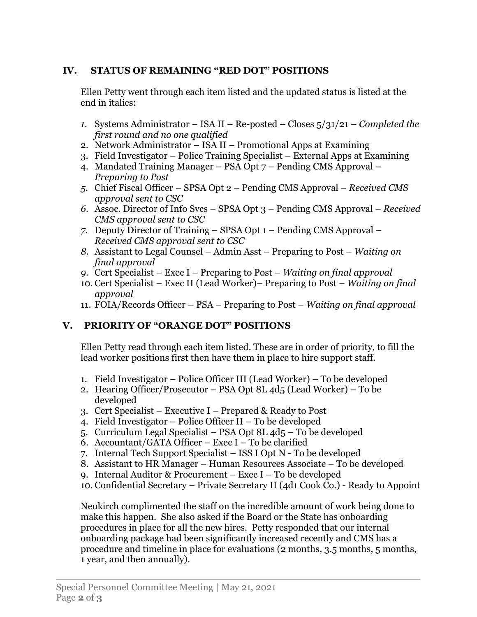# **IV. STATUS OF REMAINING "RED DOT" POSITIONS**

Ellen Petty went through each item listed and the updated status is listed at the end in italics:

- *1.* Systems Administrator ISA II Re-posted Closes 5/31/21 *Completed the first round and no one qualified*
- 2. Network Administrator ISA II Promotional Apps at Examining
- 3. Field Investigator Police Training Specialist External Apps at Examining
- 4. Mandated Training Manager PSA Opt 7 Pending CMS Approval *Preparing to Post*
- *5.* Chief Fiscal Officer SPSA Opt 2 Pending CMS Approval *Received CMS approval sent to CSC*
- *6.* Assoc. Director of Info Svcs SPSA Opt 3 Pending CMS Approval *Received CMS approval sent to CSC*
- *7.* Deputy Director of Training SPSA Opt 1 Pending CMS Approval *Received CMS approval sent to CSC*
- *8.* Assistant to Legal Counsel Admin Asst Preparing to Post *Waiting on final approval*
- *9.* Cert Specialist Exec I Preparing to Post *Waiting on final approval*
- 10. Cert Specialist Exec II (Lead Worker)– Preparing to Post *Waiting on final approval*
- 11. FOIA/Records Officer PSA Preparing to Post *Waiting on final approval*

# **V. PRIORITY OF "ORANGE DOT" POSITIONS**

Ellen Petty read through each item listed. These are in order of priority, to fill the lead worker positions first then have them in place to hire support staff.

- 1. Field Investigator Police Officer III (Lead Worker) To be developed
- 2. Hearing Officer/Prosecutor PSA Opt 8L  $4d_5$  (Lead Worker) To be developed
- 3. Cert Specialist Executive I Prepared & Ready to Post
- 4. Field Investigator Police Officer II To be developed
- 5. Curriculum Legal Specialist PSA Opt 8L 4d5 To be developed
- 6. Accountant/GATA Officer Exec I To be clarified
- 7. Internal Tech Support Specialist ISS I Opt N To be developed
- 8. Assistant to HR Manager Human Resources Associate To be developed
- 9. Internal Auditor & Procurement Exec I To be developed
- 10. Confidential Secretary Private Secretary II (4d1 Cook Co.) Ready to Appoint

Neukirch complimented the staff on the incredible amount of work being done to make this happen. She also asked if the Board or the State has onboarding procedures in place for all the new hires. Petty responded that our internal onboarding package had been significantly increased recently and CMS has a procedure and timeline in place for evaluations (2 months, 3.5 months, 5 months, 1 year, and then annually).